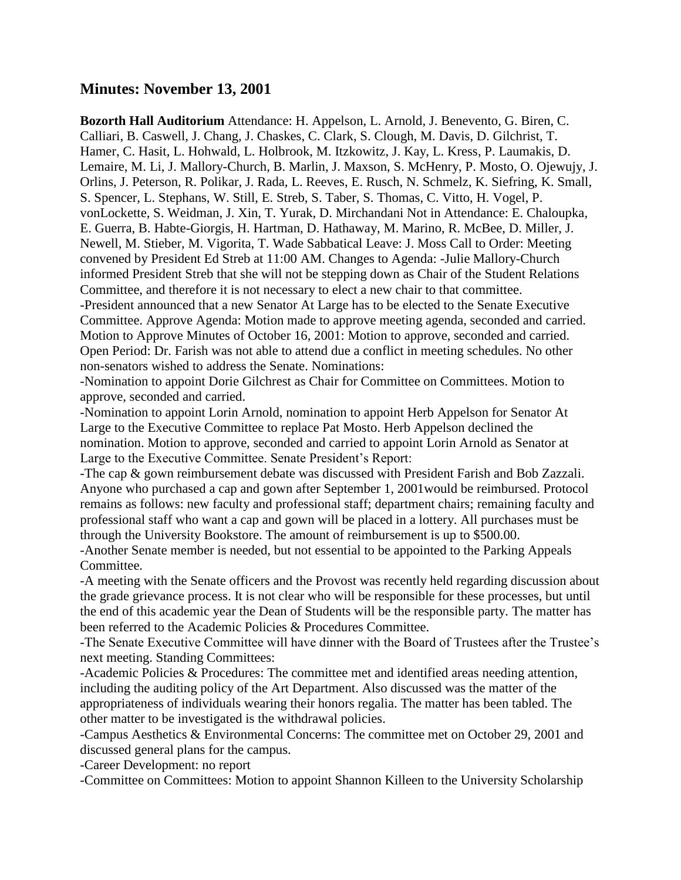## **Minutes: November 13, 2001**

**Bozorth Hall Auditorium** Attendance: H. Appelson, L. Arnold, J. Benevento, G. Biren, C. Calliari, B. Caswell, J. Chang, J. Chaskes, C. Clark, S. Clough, M. Davis, D. Gilchrist, T. Hamer, C. Hasit, L. Hohwald, L. Holbrook, M. Itzkowitz, J. Kay, L. Kress, P. Laumakis, D. Lemaire, M. Li, J. Mallory-Church, B. Marlin, J. Maxson, S. McHenry, P. Mosto, O. Ojewujy, J. Orlins, J. Peterson, R. Polikar, J. Rada, L. Reeves, E. Rusch, N. Schmelz, K. Siefring, K. Small, S. Spencer, L. Stephans, W. Still, E. Streb, S. Taber, S. Thomas, C. Vitto, H. Vogel, P. vonLockette, S. Weidman, J. Xin, T. Yurak, D. Mirchandani Not in Attendance: E. Chaloupka, E. Guerra, B. Habte-Giorgis, H. Hartman, D. Hathaway, M. Marino, R. McBee, D. Miller, J. Newell, M. Stieber, M. Vigorita, T. Wade Sabbatical Leave: J. Moss Call to Order: Meeting convened by President Ed Streb at 11:00 AM. Changes to Agenda: -Julie Mallory-Church informed President Streb that she will not be stepping down as Chair of the Student Relations Committee, and therefore it is not necessary to elect a new chair to that committee.

-President announced that a new Senator At Large has to be elected to the Senate Executive Committee. Approve Agenda: Motion made to approve meeting agenda, seconded and carried. Motion to Approve Minutes of October 16, 2001: Motion to approve, seconded and carried. Open Period: Dr. Farish was not able to attend due a conflict in meeting schedules. No other non-senators wished to address the Senate. Nominations:

-Nomination to appoint Dorie Gilchrest as Chair for Committee on Committees. Motion to approve, seconded and carried.

-Nomination to appoint Lorin Arnold, nomination to appoint Herb Appelson for Senator At Large to the Executive Committee to replace Pat Mosto. Herb Appelson declined the nomination. Motion to approve, seconded and carried to appoint Lorin Arnold as Senator at Large to the Executive Committee. Senate President's Report:

-The cap & gown reimbursement debate was discussed with President Farish and Bob Zazzali. Anyone who purchased a cap and gown after September 1, 2001would be reimbursed. Protocol remains as follows: new faculty and professional staff; department chairs; remaining faculty and professional staff who want a cap and gown will be placed in a lottery. All purchases must be through the University Bookstore. The amount of reimbursement is up to \$500.00.

-Another Senate member is needed, but not essential to be appointed to the Parking Appeals Committee.

-A meeting with the Senate officers and the Provost was recently held regarding discussion about the grade grievance process. It is not clear who will be responsible for these processes, but until the end of this academic year the Dean of Students will be the responsible party. The matter has been referred to the Academic Policies & Procedures Committee.

-The Senate Executive Committee will have dinner with the Board of Trustees after the Trustee's next meeting. Standing Committees:

-Academic Policies & Procedures: The committee met and identified areas needing attention, including the auditing policy of the Art Department. Also discussed was the matter of the appropriateness of individuals wearing their honors regalia. The matter has been tabled. The other matter to be investigated is the withdrawal policies.

-Campus Aesthetics & Environmental Concerns: The committee met on October 29, 2001 and discussed general plans for the campus.

-Career Development: no report

-Committee on Committees: Motion to appoint Shannon Killeen to the University Scholarship